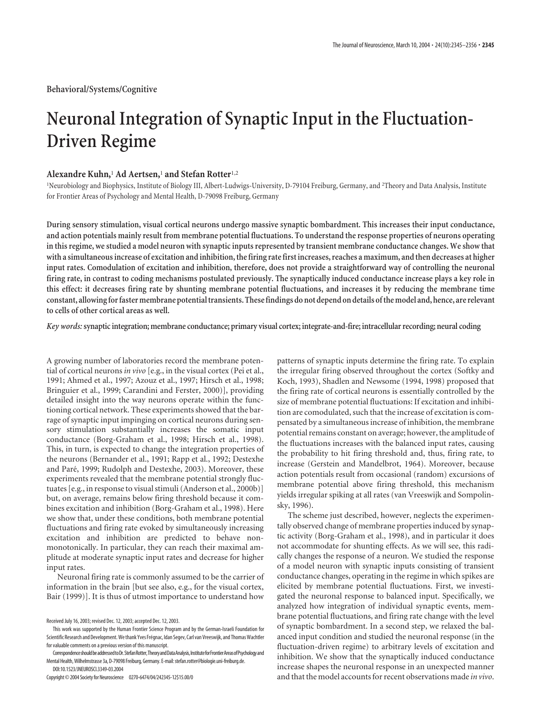**Behavioral/Systems/Cognitive**

# **Neuronal Integration of Synaptic Input in the Fluctuation-Driven Regime**

# **Alexandre Kuhn,**<sup>1</sup> **Ad Aertsen,**<sup>1</sup> **and Stefan Rotter**1,2

<sup>1</sup>Neurobiology and Biophysics, Institute of Biology III, Albert-Ludwigs-University, D-79104 Freiburg, Germany, and <sup>2</sup>Theory and Data Analysis, Institute for Frontier Areas of Psychology and Mental Health, D-79098 Freiburg, Germany

**During sensory stimulation, visual cortical neurons undergo massive synaptic bombardment. This increases their input conductance, and action potentials mainly result from membrane potential fluctuations. To understand the response properties of neurons operating in this regime, we studied a model neuron with synaptic inputs represented by transient membrane conductance changes. We show that with a simultaneous increase of excitation and inhibition, the firing rate first increases, reaches a maximum, and then decreases at higher input rates. Comodulation of excitation and inhibition, therefore, does not provide a straightforward way of controlling the neuronal firing rate, in contrast to coding mechanisms postulated previously. The synaptically induced conductance increase plays a key role in this effect: it decreases firing rate by shunting membrane potential fluctuations, and increases it by reducing the membrane time constant, allowing for faster membrane potential transients. These findings do not depend on details of the model and, hence, are relevant to cells of other cortical areas as well.**

*Key words:***synaptic integration; membrane conductance; primary visual cortex; integrate-and-fire; intracellular recording; neural coding**

A growing number of laboratories record the membrane potential of cortical neurons *in vivo* [e.g., in the visual cortex (Pei et al., 1991; Ahmed et al., 1997; Azouz et al., 1997; Hirsch et al., 1998; Bringuier et al., 1999; Carandini and Ferster, 2000)], providing detailed insight into the way neurons operate within the functioning cortical network. These experiments showed that the barrage of synaptic input impinging on cortical neurons during sensory stimulation substantially increases the somatic input conductance (Borg-Graham et al., 1998; Hirsch et al., 1998). This, in turn, is expected to change the integration properties of the neurons (Bernander et al., 1991; Rapp et al., 1992; Destexhe and Paré, 1999; Rudolph and Destexhe, 2003). Moreover, these experiments revealed that the membrane potential strongly fluctuates [e.g., in response to visual stimuli (Anderson et al., 2000b)] but, on average, remains below firing threshold because it combines excitation and inhibition (Borg-Graham et al., 1998). Here we show that, under these conditions, both membrane potential fluctuations and firing rate evoked by simultaneously increasing excitation and inhibition are predicted to behave nonmonotonically. In particular, they can reach their maximal amplitude at moderate synaptic input rates and decrease for higher input rates.

Neuronal firing rate is commonly assumed to be the carrier of information in the brain [but see also, e.g., for the visual cortex, Bair (1999)]. It is thus of utmost importance to understand how

patterns of synaptic inputs determine the firing rate. To explain the irregular firing observed throughout the cortex (Softky and Koch, 1993), Shadlen and Newsome (1994, 1998) proposed that the firing rate of cortical neurons is essentially controlled by the size of membrane potential fluctuations: If excitation and inhibition are comodulated, such that the increase of excitation is compensated by a simultaneous increase of inhibition, the membrane potential remains constant on average; however, the amplitude of the fluctuations increases with the balanced input rates, causing the probability to hit firing threshold and, thus, firing rate, to increase (Gerstein and Mandelbrot, 1964). Moreover, because action potentials result from occasional (random) excursions of membrane potential above firing threshold, this mechanism yields irregular spiking at all rates (van Vreeswijk and Sompolinsky, 1996).

The scheme just described, however, neglects the experimentally observed change of membrane properties induced by synaptic activity (Borg-Graham et al., 1998), and in particular it does not accommodate for shunting effects. As we will see, this radically changes the response of a neuron. We studied the response of a model neuron with synaptic inputs consisting of transient conductance changes, operating in the regime in which spikes are elicited by membrane potential fluctuations. First, we investigated the neuronal response to balanced input. Specifically, we analyzed how integration of individual synaptic events, membrane potential fluctuations, and firing rate change with the level of synaptic bombardment. In a second step, we relaxed the balanced input condition and studied the neuronal response (in the fluctuation-driven regime) to arbitrary levels of excitation and inhibition. We show that the synaptically induced conductance increase shapes the neuronal response in an unexpected manner and that the model accounts for recent observations made *in vivo*.

Received July 16, 2003; revised Dec. 12, 2003; accepted Dec. 12, 2003.

This work was supported by the Human Frontier Science Program and by the German-Israeli Foundation for Scientific Research and Development. We thank Yves Fréqnac, Idan Segev, Carl van Vreeswijk, and Thomas Wachtler for valuable comments on a previous version of this manuscript.

CorrespondenceshouldbeaddressedtoDr.StefanRotter,TheoryandDataAnalysis,InstituteforFrontierAreasofPsychologyand Mental Health, Wilhelmstrasse 3a, D-79098 Freiburg, Germany. E-mail: stefan.rotter@biologie.uni-freiburg.de. DOI:10.1523/JNEUROSCI.3349-03.2004

Copyright © 2004 Society for Neuroscience 0270-6474/04/242345-12\$15.00/0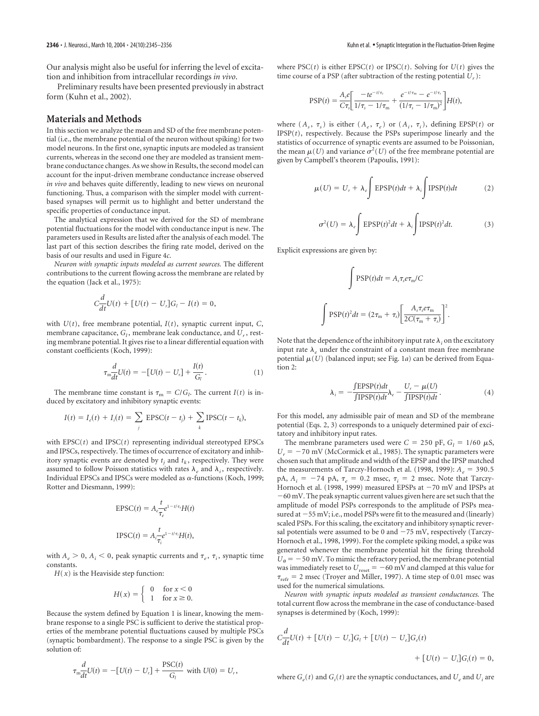Our analysis might also be useful for inferring the level of excitation and inhibition from intracellular recordings *in vivo*.

Preliminary results have been presented previously in abstract form (Kuhn et al., 2002).

## **Materials and Methods**

In this section we analyze the mean and SD of the free membrane potential (i.e., the membrane potential of the neuron without spiking) for two model neurons. In the first one, synaptic inputs are modeled as transient currents, whereas in the second one they are modeled as transient membrane conductance changes. As we show in Results, the second model can account for the input-driven membrane conductance increase observed *in vivo* and behaves quite differently, leading to new views on neuronal functioning. Thus, a comparison with the simpler model with currentbased synapses will permit us to highlight and better understand the specific properties of conductance input.

The analytical expression that we derived for the SD of membrane potential fluctuations for the model with conductance input is new. The parameters used in Results are listed after the analysis of each model. The last part of this section describes the firing rate model, derived on the basis of our results and used in Figure 4*c*.

*Neuron with synaptic inputs modeled as current sources.* The different contributions to the current flowing across the membrane are related by the equation (Jack et al., 1975):

$$
C\frac{d}{dt}U(t) + [U(t) - U_r]G_l - I(t) = 0,
$$

with *U*(*t*), free membrane potential, *I*(*t*), synaptic current input, *C*, membrane capacitance,  $G_l$ , membrane leak conductance, and  $U_r$ , resting membrane potential. It gives rise to a linear differential equation with constant coefficients (Koch, 1999):

$$
\tau_{m} \frac{d}{dt} U(t) = -[U(t) - U_{r}] + \frac{I(t)}{G_{l}}.
$$
\n(1)

The membrane time constant is  $\tau_{\text{m}} = C/G_l$ . The current *I*(*t*) is induced by excitatory and inhibitory synaptic events:

$$
I(t) = I_e(t) + I_i(t) = \sum_j \text{EPSC}(t - t_j) + \sum_k \text{IPSC}(t - t_k),
$$

with  $EPSC(t)$  and  $IPSC(t)$  representing individual stereotyped  $EPSCs$ and IPSCs, respectively. The times of occurrence of excitatory and inhibitory synaptic events are denoted by  $t_j$  and  $t_k$ , respectively. They were assumed to follow Poisson statistics with rates  $\lambda_e$  and  $\lambda_i$ , respectively. Individual EPSCs and IPSCs were modeled as  $\alpha$ -functions (Koch, 1999; Rotter and Diesmann, 1999):

$$
EPSC(t) = A_e \frac{t}{\tau_e} e^{1 - t/\tau_e} H(t)
$$

$$
IPSC(t) = A_i \frac{t}{\tau_i} e^{1 - t/\tau_i} H(t),
$$

with  $A_e > 0$ ,  $A_i < 0$ , peak synaptic currents and  $\tau_e$ ,  $\tau_i$ , synaptic time constants.

 $H(x)$  is the Heaviside step function:

$$
H(x) = \begin{cases} 0 & \text{for } x < 0 \\ 1 & \text{for } x \ge 0. \end{cases}
$$

Because the system defined by Equation 1 is linear, knowing the membrane response to a single PSC is sufficient to derive the statistical properties of the membrane potential fluctuations caused by multiple PSCs (synaptic bombardment). The response to a single PSC is given by the solution of:

$$
\tau_{\text{m}} \frac{d}{dt} U(t) = -[U(t) - U_r] + \frac{\text{PSC}(t)}{G_l} \text{ with } U(0) = U_r,
$$

where  $PSC(t)$  is either  $EPSC(t)$  or  $IPSC(t)$ . Solving for  $U(t)$  gives the time course of a PSP (after subtraction of the resting potential  $U_r$ ):

$$
PSP(t) = \frac{A_s e}{C\tau_s} \left[ \frac{-te^{-t/\tau_s}}{1/\tau_s - 1/\tau_m} + \frac{e^{-t/\tau_m} - e^{-t/\tau_s}}{(1/\tau_s - 1/\tau_m)^2} \right] H(t),
$$

where  $(A_s, \tau_s)$  is either  $(A_e, \tau_e)$  or  $(A_i, \tau_i)$ , defining EPSP(*t*) or IPSP(*t*), respectively. Because the PSPs superimpose linearly and the statistics of occurrence of synaptic events are assumed to be Poissonian, the mean  $\mu(U)$  and variance  $\sigma^2(U)$  of the free membrane potential are given by Campbell's theorem (Papoulis, 1991):

$$
\mu(U) = U_r + \lambda_e \int \text{EPSP}(t)dt + \lambda_i \int \text{IPSP}(t)dt \tag{2}
$$

$$
\sigma^{2}(U) = \lambda_{e} \int \text{EPSP}(t)^{2} dt + \lambda_{i} \int \text{IPSP}(t)^{2} dt.
$$
 (3)

Explicit expressions are given by:

$$
\int \text{PSP}(t)dt = A_s \tau_s e \tau_m / C
$$
\n
$$
\int \text{PSP}(t)^2 dt = (2\tau_m + \tau_s) \left[ \frac{A_s \tau_s e \tau_m}{2C(\tau_m + \tau_s)} \right]^2
$$

Note that the dependence of the inhibitory input rate  $\lambda_i$  on the excitatory input rate  $\lambda_e$  under the constraint of a constant mean free membrane potential  $\mu$ (*U*) (balanced input; see Fig. 1*a*) can be derived from Equation 2:

$$
\lambda_i = -\frac{\int EPSP(t)dt}{\int IPSP(t)dt} \lambda_e - \frac{U_r - \mu(U)}{\int IPSP(t)dt}.
$$
\n(4)

.

For this model, any admissible pair of mean and SD of the membrane potential (Eqs. 2, 3) corresponds to a uniquely determined pair of excitatory and inhibitory input rates.

The membrane parameters used were  $C = 250$  pF,  $G_l = 1/60 \mu S$ ,  $U_r = -70$  mV (McCormick et al., 1985). The synaptic parameters were chosen such that amplitude and width of the EPSP and the IPSP matched the measurements of Tarczy-Hornoch et al. (1998, 1999):  $A_e$  = 390.5 pA,  $A_i = -74$  pA,  $\tau_e = 0.2$  msec,  $\tau_i = 2$  msec. Note that Tarczy-Hornoch et al. (1998, 1999) measured EPSPs at  $-70$  mV and IPSPs at  $-60$  mV. The peak synaptic current values given here are set such that the amplitude of model PSPs corresponds to the amplitude of PSPs measured at  $-55$  mV; i.e., model PSPs were fit to the measured and (linearly) scaled PSPs. For this scaling, the excitatory and inhibitory synaptic reversal potentials were assumed to be 0 and  $-75$  mV, respectively (Tarczy-Hornoch et al., 1998, 1999). For the complete spiking model, a spike was generated whenever the membrane potential hit the firing threshold  $U_{\theta}$  =  $-50$  mV. To mimic the refractory period, the membrane potential was immediately reset to  $U_{\rm reset}$  =  $-60$  mV and clamped at this value for  $\tau_{refr}$  = 2 msec (Troyer and Miller, 1997). A time step of 0.01 msec was used for the numerical simulations.

*Neuron with synaptic inputs modeled as transient conductances.* The total current flow across the membrane in the case of conductance-based synapses is determined by (Koch, 1999):

$$
C\frac{d}{dt}U(t) + [U(t) - U_r]G_t + [U(t) - U_e]G_e(t) + [U(t) - U_i]G_i(t) = 0,
$$

where  $G_e(t)$  and  $G_i(t)$  are the synaptic conductances, and  $U_e$  and  $U_i$  are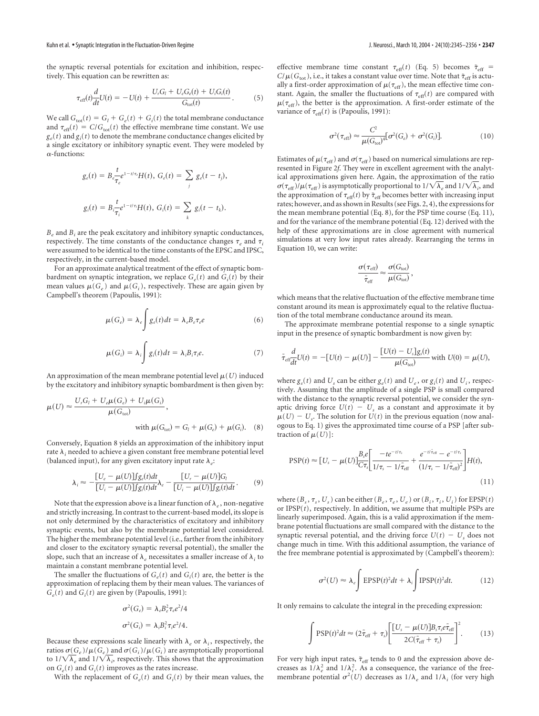the synaptic reversal potentials for excitation and inhibition, respectively. This equation can be rewritten as:

$$
\tau_{\text{eff}}(t)\frac{d}{dt}U(t) = -U(t) + \frac{U_r G_l + U_e G_e(t) + U_i G_i(t)}{G_{\text{tot}}(t)}.
$$
(5)

We call  $G_{\text{tot}}(t) = G_l + G_e(t) + G_i(t)$  the total membrane conductance and  $\tau_{\text{eff}}(t) = C/G_{\text{tot}}(t)$  the effective membrane time constant. We use  $g_e(t)$  and  $g_i(t)$  to denote the membrane conductance changes elicited by a single excitatory or inhibitory synaptic event. They were modeled by  $\alpha$ -functions:

$$
g_{e}(t) = B_{e} \frac{t}{\tau_{e}} e^{1-t/\tau_{e}} H(t), \ G_{e}(t) = \sum_{j} g_{e}(t - t_{j}),
$$
  

$$
g_{i}(t) = B_{i} \frac{t}{\tau_{i}} e^{1-t/\tau_{i}} H(t), \ G_{i}(t) = \sum_{k} g_{i}(t - t_{k}).
$$

 $B_e$  and  $B_i$  are the peak excitatory and inhibitory synaptic conductances, respectively. The time constants of the conductance changes  $\tau_e$  and  $\tau_i$ were assumed to be identical to the time constants of the EPSC and IPSC, respectively, in the current-based model.

For an approximate analytical treatment of the effect of synaptic bombardment on synaptic integration, we replace  $G_e(t)$  and  $G_i(t)$  by their mean values  $\mu(G_e)$  and  $\mu(G_i)$ , respectively. These are again given by Campbell's theorem (Papoulis, 1991):

$$
\mu(G_e) = \lambda_e \int g_e(t)dt = \lambda_e B_e \tau_e e \tag{6}
$$

$$
\mu(G_i) = \lambda_i \int g_i(t)dt = \lambda_i B_i \tau_i e.
$$
\n(7)

An approximation of the mean membrane potential level  $\mu(U)$  induced by the excitatory and inhibitory synaptic bombardment is then given by:

$$
\mu(U) \approx \frac{U_r G_l + U_e \mu(G_e) + U_i \mu(G_i)}{\mu(G_{\text{tot}})},
$$
  
with  $\mu(G_{\text{tot}}) = G_l + \mu(G_e) + \mu(G_i)$ . (8)

Conversely, Equation 8 yields an approximation of the inhibitory input rate  $\lambda_i$  needed to achieve a given constant free membrane potential level (balanced input), for any given excitatory input rate  $\lambda_e$ :

$$
\lambda_i \approx -\frac{[U_e - \mu(U)] f_{g_e}(t) dt}{[U_i - \mu(U)] f_{g_i}(t) dt} \lambda_e - \frac{[U_r - \mu(U)] G_i}{[U_i - \mu(U)] f_{g_i}(t) dt}.
$$
(9)

Note that the expression above is a linear function of  $\lambda_e$ , non-negative and strictly increasing. In contrast to the current-based model, its slope is not only determined by the characteristics of excitatory and inhibitory synaptic events, but also by the membrane potential level considered. The higher the membrane potential level (i.e., farther from the inhibitory and closer to the excitatory synaptic reversal potential), the smaller the slope, such that an increase of  $\lambda_e$  necessitates a smaller increase of  $\lambda_i$  to maintain a constant membrane potential level.

The smaller the fluctuations of  $G_e(t)$  and  $G_i(t)$  are, the better is the approximation of replacing them by their mean values. The variances of  $G_e(t)$  and  $G_i(t)$  are given by (Papoulis, 1991):

$$
\sigma^2(G_e) = \lambda_e B_e^2 \tau_e e^2 / 4
$$
  

$$
\sigma^2(G_i) = \lambda_i B_i^2 \tau_i e^2 / 4.
$$

Because these expressions scale linearly with  $\lambda_e$  or  $\lambda_i$ , respectively, the ratios  $\sigma(G_e)/\mu(G_e)$  and  $\sigma(G_i)/\mu(G_i)$  are asymptotically proportional to  $1/\sqrt{\lambda_e}$  and  $1/\sqrt{\lambda_i}$ , respectively. This shows that the approximation on  $G_e(t)$  and  $G_i(t)$  improves as the rates increase.

With the replacement of  $G_e(t)$  and  $G_i(t)$  by their mean values, the

effective membrane time constant  $\tau_{\text{eff}}(t)$  (Eq. 5) becomes  $\tilde{\tau}_{\text{eff}}$  =  $C/\mu(G<sub>tot</sub>)$ , i.e., it takes a constant value over time. Note that  $\tilde{\tau}_{eff}$  is actually a first-order approximation of  $\mu(\tau_{\text{eff}})$ , the mean effective time constant. Again, the smaller the fluctuations of  $\tau_{\text{eff}}(t)$  are compared with  $\mu(\tau_{\rm eff})$ , the better is the approximation. A first-order estimate of the variance of  $\tau_{\text{eff}}(t)$  is (Papoulis, 1991):

$$
\sigma^2(\tau_{\text{eff}}) \approx \frac{C^2}{\mu(G_{\text{tot}})^4} [\sigma^2(G_e) + \sigma^2(G_i)]. \tag{10}
$$

Estimates of  $\mu(\tau_{\rm eff})$  and  $\sigma(\tau_{\rm eff})$  based on numerical simulations are represented in Figure 2*f*. They were in excellent agreement with the analytical approximations given here. Again, the approximation of the ratio  $\sigma(\tau_{\rm eff})/\mu(\tau_{\rm eff})$  is asymptotically proportional to  $1/\sqrt{\lambda_e}$  and  $1/\sqrt{\lambda_i}$ , and the approximation of  $\tau_{\text{eff}}(t)$  by  $\tilde{\tau}_{\text{eff}}$  becomes better with increasing input rates; however, and as shown in Results (see Figs. 2, 4), the expressions for the mean membrane potential (Eq. 8), for the PSP time course (Eq. 11), and for the variance of the membrane potential (Eq. 12) derived with the help of these approximations are in close agreement with numerical simulations at very low input rates already. Rearranging the terms in Equation 10, we can write:

$$
\frac{\sigma(\tau_{\text{eff}})}{\tilde{\tau}_{\text{eff}}} \approx \frac{\sigma(G_{\text{tot}})}{\mu(G_{\text{tot}})},
$$

which means that the relative fluctuation of the effective membrane time constant around its mean is approximately equal to the relative fluctuation of the total membrane conductance around its mean.

The approximate membrane potential response to a single synaptic input in the presence of synaptic bombardment is now given by:

$$
\tilde{\tau}_{\text{eff}}\frac{d}{dt}U(t) = -[U(t) - \mu(U)] - \frac{[U(t) - U_s]g_s(t)}{\mu(G_{\text{tot}})} \text{ with } U(0) = \mu(U),
$$

where  $g_s(t)$  and  $U_s$  can be either  $g_e(t)$  and  $U_e$ , or  $g_i(t)$  and  $U_i$ , respectively. Assuming that the amplitude of a single PSP is small compared with the distance to the synaptic reversal potential, we consider the synaptic driving force  $U(t) - U_s$  as a constant and approximate it by  $\mu(U) - U_s$ . The solution for  $U(t)$  in the previous equation (now analogous to Eq. 1) gives the approximated time course of a PSP [after subtraction of  $\mu(U)$ ]:

$$
\text{PSP}(t) \approx [U_s - \mu(U)] \frac{B_s e}{C \tau_s} \left[ \frac{-te^{-t/\tau_s}}{1/\tau_s - 1/\tilde{\tau}_{\text{eff}}} + \frac{e^{-t/\tilde{\tau}_{\text{eff}}} - e^{-t/\tau_s}}{(1/\tau_s - 1/\tilde{\tau}_{\text{eff}})^2} \right] H(t),\tag{11}
$$

where  $(B_s, \tau_s, U_s)$  can be either  $(B_e, \tau_e, U_e)$  or  $(B_i, \tau_i, U_i)$  for EPSP(*t*) or IPSP(*t*), respectively. In addition, we assume that multiple PSPs are linearly superimposed. Again, this is a valid approximation if the membrane potential fluctuations are small compared with the distance to the synaptic reversal potential, and the driving force  $U(t) - U_s$  does not change much in time. With this additional assumption, the variance of the free membrane potential is approximated by (Campbell's theorem):

$$
\sigma^2(U) \approx \lambda_e \int \text{EPSP}(t)^2 dt + \lambda_i \int \text{IPSP}(t)^2 dt. \tag{12}
$$

It only remains to calculate the integral in the preceding expression:

$$
\int \mathrm{PSP}(t)^2 dt \approx (2\tilde{\tau}_{\mathrm{eff}} + \tau_s) \left[ \frac{[U_s - \mu(U)] B_s \tau_s e \tilde{\tau}_{\mathrm{eff}}}{2C(\tilde{\tau}_{\mathrm{eff}} + \tau_s)} \right]^2. \tag{13}
$$

For very high input rates,  $\tilde{\tau}_{\rm eff}$  tends to 0 and the expression above decreases as  $1/\lambda_e^2$  and  $1/\lambda_i^2$ . As a consequence, the variance of the freemembrane potential  $\sigma^2(U)$  decreases as  $1/\lambda_e$  and  $1/\lambda_i$  (for very high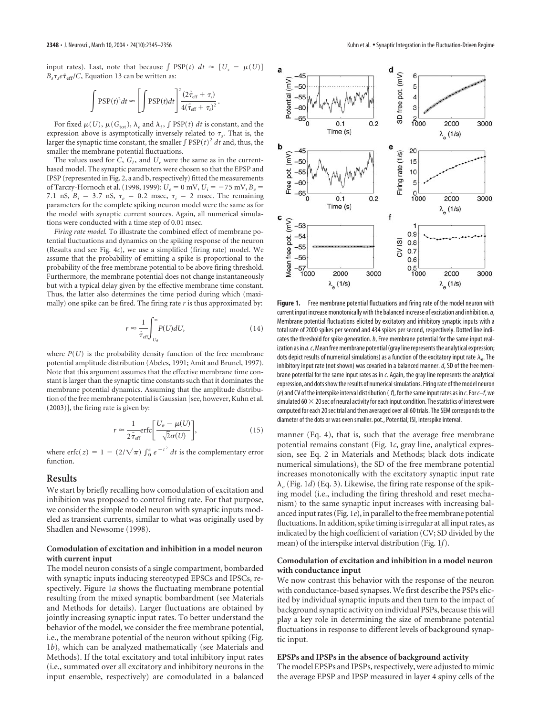input rates). Last, note that because  $\int$  PSP(*t*)  $dt \approx [U_s - \mu(U)]$  $B_s \tau_s e \tilde{\tau}_{\text{eff}} / C$ , Equation 13 can be written as:

$$
\int \mathrm{PSP}(t)^2 dt \approx \left[ \int \mathrm{PSP}(t) dt \right]^2 \frac{(2\tilde{\tau}_{\mathrm{eff}} + \tau_s)}{4(\tilde{\tau}_{\mathrm{eff}} + \tau_s)^2}.
$$

For fixed  $\mu(U)$ ,  $\mu(G_{\text{tot}})$ ,  $\lambda_e$  and  $\lambda_i$ ,  $\int$  PSP(*t*) *dt* is constant, and the expression above is asymptotically inversely related to  $\tau_s$ . That is, the larger the synaptic time constant, the smaller  $\int$  PSP( $t$ )<sup>2</sup> *dt* and, thus, the smaller the membrane potential fluctuations.

The values used for  $C$ ,  $G_l$ , and  $U_r$  were the same as in the currentbased model. The synaptic parameters were chosen so that the EPSP and IPSP (represented in Fig. 2, a and b, respectively) fitted the measurements of Tarczy-Hornoch et al. (1998, 1999):  $U_e = 0$  mV,  $U_i = -75$  mV,  $B_e =$ 7.1 nS,  $B_i = 3.7$  nS,  $\tau_e = 0.2$  msec,  $\tau_i = 2$  msec. The remaining parameters for the complete spiking neuron model were the same as for the model with synaptic current sources. Again, all numerical simulations were conducted with a time step of 0.01 msec.

*Firing rate model.* To illustrate the combined effect of membrane potential fluctuations and dynamics on the spiking response of the neuron (Results and see Fig. 4*c*), we use a simplified (firing rate) model. We assume that the probability of emitting a spike is proportional to the probability of the free membrane potential to be above firing threshold. Furthermore, the membrane potential does not change instantaneously but with a typical delay given by the effective membrane time constant. Thus, the latter also determines the time period during which (maximally) one spike can be fired. The firing rate *r* is thus approximated by:

$$
r \approx \frac{1}{\tilde{\tau}_{\rm eff}} \int_{U_{\theta}}^{\infty} P(U) dU, \tag{14}
$$

where  $P(U)$  is the probability density function of the free membrane potential amplitude distribution (Abeles, 1991; Amit and Brunel, 1997). Note that this argument assumes that the effective membrane time constant is larger than the synaptic time constants such that it dominates the membrane potential dynamics. Assuming that the amplitude distribution of the free membrane potential is Gaussian [see, however, Kuhn et al. (2003)], the firing rate is given by:

$$
r \approx \frac{1}{2\tilde{\tau}_{\rm eff}} \text{erfc} \bigg[ \frac{U_{\theta} - \mu(U)}{\sqrt{2}\sigma(U)} \bigg],\tag{15}
$$

where erfc(*z*) =  $1 - (2/\sqrt{\pi}) \int_0^z e^{-t^2} dt$  is the complementary error function.

# **Results**

We start by briefly recalling how comodulation of excitation and inhibition was proposed to control firing rate. For that purpose, we consider the simple model neuron with synaptic inputs modeled as transient currents, similar to what was originally used by Shadlen and Newsome (1998).

## **Comodulation of excitation and inhibition in a model neuron with current input**

The model neuron consists of a single compartment, bombarded with synaptic inputs inducing stereotyped EPSCs and IPSCs, respectively. Figure 1*a* shows the fluctuating membrane potential resulting from the mixed synaptic bombardment (see Materials and Methods for details). Larger fluctuations are obtained by jointly increasing synaptic input rates. To better understand the behavior of the model, we consider the free membrane potential, i.e., the membrane potential of the neuron without spiking (Fig. 1*b*), which can be analyzed mathematically (see Materials and Methods). If the total excitatory and total inhibitory input rates (i.e., summated over all excitatory and inhibitory neurons in the input ensemble, respectively) are comodulated in a balanced



Figure 1. Free membrane potential fluctuations and firing rate of the model neuron with current input increase monotonically with the balanced increase of excitation and inhibition.*a*, Membrane potential fluctuations elicited by excitatory and inhibitory synaptic inputs with a total rate of 2000 spikes per second and 434 spikes per second, respectively. Dotted line indicates the threshold for spike generation.*b*, Free membrane potential for the same input realization as in *a*.*c*, Mean free membrane potential (gray line represents the analytical expression; dots depict results of numerical simulations) as a function of the excitatory input rate  $\lambda_{\mathrm{e}}.$  The inhibitory input rate (not shown) was covaried in a balanced manner.*d*, SD of the free membrane potential for the same input rates as in *c*. Again, the gray line represents the analytical expression, and dots show the results of numerical simulations. Firing rate of the model neuron (*e*) and CV of the interspike interval distribution ( *f*), for the same input rates as in *c*. For*c–f*, we simulated 60 $\times$  20 sec of neural activity for each input condition. The statistics of interest were computed for each 20 sec trial and then averaged over all 60 trials. The SEM corresponds to the diameter of the dots or was even smaller. pot., Potential; ISI, interspike interval.

manner (Eq. 4), that is, such that the average free membrane potential remains constant (Fig. 1*c*, gray line, analytical expression, see Eq. 2 in Materials and Methods; black dots indicate numerical simulations), the SD of the free membrane potential increases monotonically with the excitatory synaptic input rate *<sup>e</sup>* (Fig. 1*d*) (Eq. 3). Likewise, the firing rate response of the spiking model (i.e., including the firing threshold and reset mechanism) to the same synaptic input increases with increasing balanced input rates (Fig. 1*e*), in parallel to the free membrane potential fluctuations. In addition, spike timing is irregular at all input rates, as indicated by the high coefficient of variation (CV; SD divided by the mean) of the interspike interval distribution (Fig. 1*f*).

## **Comodulation of excitation and inhibition in a model neuron with conductance input**

We now contrast this behavior with the response of the neuron with conductance-based synapses. We first describe the PSPs elicited by individual synaptic inputs and then turn to the impact of background synaptic activity on individual PSPs, because this will play a key role in determining the size of membrane potential fluctuations in response to different levels of background synaptic input.

#### **EPSPs and IPSPs in the absence of background activity**

The model EPSPs and IPSPs, respectively, were adjusted to mimic the average EPSP and IPSP measured in layer 4 spiny cells of the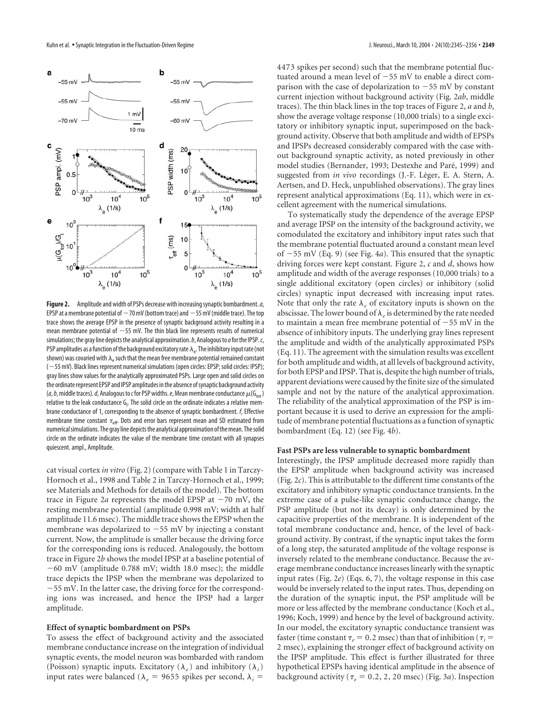

**Figure 2.** Amplitude and width of PSPs decrease with increasing synaptic bombardment.*a*, EPSP at a membrane potential of  $-70$  mV (bottom trace) and  $-55$  mV (middle trace). The top trace shows the average EPSP in the presence of synaptic background activity resulting in a mean membrane potential of  $-55$  mV. The thin black line represents results of numerical simulations; the gray line depicts the analytical approximation.*b*, Analogous to*a*for the IPSP.*c*, PSP amplitudes as a function of the background excitatory rate  $\lambda_{\rm e}$ . The inhibitory input rate (not shown) was covaried with  $\lambda_e$  such that the mean free membrane potential remained constant (55 mV). Black lines represent numerical simulations (open circles: EPSP; solid circles: IPSP); gray lines show values for the analytically approximated PSPs. Large open and solid circles on the ordinate represent EPSP and IPSP amplitudes in the absence of synaptic background activity  $(a, b, m$ iddle traces). d, Analogous to c for PSP widths. e, Mean membrane conductance  $\mu(G<sub>tot</sub>)$ relative to the leak conductance G<sub>I</sub>. The solid circle on the ordinate indicates a relative membrane conductance of 1, corresponding to the absence of synaptic bombardment. *f*, Effective membrane time constant  $\tau_{\text{eff}}$ . Dots and error bars represent mean and SD estimated from numerical simulations. The gray line depicts the analytical approximation of the mean. The solid circle on the ordinate indicates the value of the membrane time constant with all synapses quiescent. ampl., Amplitude.

cat visual cortex *in vitro* (Fig. 2) (compare with Table 1 in Tarczy-Hornoch et al., 1998 and Table 2 in Tarczy-Hornoch et al., 1999; see Materials and Methods for details of the model). The bottom trace in Figure 2*a* represents the model EPSP at  $-70$  mV, the resting membrane potential (amplitude 0.998 mV; width at half amplitude 11.6 msec). The middle trace shows the EPSP when the membrane was depolarized to  $-55$  mV by injecting a constant current. Now, the amplitude is smaller because the driving force for the corresponding ions is reduced. Analogously, the bottom trace in Figure 2*b* shows the model IPSP at a baseline potential of  $-60$  mV (amplitude 0.788 mV; width 18.0 msec); the middle trace depicts the IPSP when the membrane was depolarized to 55 mV. In the latter case, the driving force for the corresponding ions was increased, and hence the IPSP had a larger amplitude.

#### **Effect of synaptic bombardment on PSPs**

To assess the effect of background activity and the associated membrane conductance increase on the integration of individual synaptic events, the model neuron was bombarded with random (Poisson) synaptic inputs. Excitatory ( $\lambda_e$ ) and inhibitory ( $\lambda_i$ ) input rates were balanced ( $\lambda_e$  = 9655 spikes per second,  $\lambda_i$  =

4473 spikes per second) such that the membrane potential fluctuated around a mean level of  $-55$  mV to enable a direct comparison with the case of depolarization to  $-55$  mV by constant current injection without background activity (Fig. 2*ab*, middle traces). The thin black lines in the top traces of Figure 2, *a* and *b*, show the average voltage response (10,000 trials) to a single excitatory or inhibitory synaptic input, superimposed on the background activity. Observe that both amplitude and width of EPSPs and IPSPs decreased considerably compared with the case without background synaptic activity, as noted previously in other model studies (Bernander, 1993; Destexhe and Paré, 1999) and suggested from *in vivo* recordings (J.-F. Léger, E. A. Stern, A. Aertsen, and D. Heck, unpublished observations). The gray lines represent analytical approximations (Eq. 11), which were in excellent agreement with the numerical simulations.

To systematically study the dependence of the average EPSP and average IPSP on the intensity of the background activity, we comodulated the excitatory and inhibitory input rates such that the membrane potential fluctuated around a constant mean level of 55 mV (Eq. 9) (see Fig. 4*a*). This ensured that the synaptic driving forces were kept constant. Figure 2, *c* and *d*, shows how amplitude and width of the average responses (10,000 trials) to a single additional excitatory (open circles) or inhibitory (solid circles) synaptic input decreased with increasing input rates. Note that only the rate  $\lambda_e$  of excitatory inputs is shown on the abscissae. The lower bound of  $\lambda_e$  is determined by the rate needed to maintain a mean free membrane potential of  $-55$  mV in the absence of inhibitory inputs. The underlying gray lines represent the amplitude and width of the analytically approximated PSPs (Eq. 11). The agreement with the simulation results was excellent for both amplitude and width, at all levels of background activity, for both EPSP and IPSP. That is, despite the high number of trials, apparent deviations were caused by the finite size of the simulated sample and not by the nature of the analytical approximation. The reliability of the analytical approximation of the PSP is important because it is used to derive an expression for the amplitude of membrane potential fluctuations as a function of synaptic bombardment (Eq. 12) (see Fig. 4*b*).

#### **Fast PSPs are less vulnerable to synaptic bombardment**

Interestingly, the IPSP amplitude decreased more rapidly than the EPSP amplitude when background activity was increased (Fig. 2*c*). This is attributable to the different time constants of the excitatory and inhibitory synaptic conductance transients. In the extreme case of a pulse-like synaptic conductance change, the PSP amplitude (but not its decay) is only determined by the capacitive properties of the membrane. It is independent of the total membrane conductance and, hence, of the level of background activity. By contrast, if the synaptic input takes the form of a long step, the saturated amplitude of the voltage response is inversely related to the membrane conductance. Because the average membrane conductance increases linearly with the synaptic input rates (Fig. 2*e*) (Eqs. 6, 7), the voltage response in this case would be inversely related to the input rates. Thus, depending on the duration of the synaptic input, the PSP amplitude will be more or less affected by the membrane conductance (Koch et al., 1996; Koch, 1999) and hence by the level of background activity. In our model, the excitatory synaptic conductance transient was faster (time constant  $\tau_e = 0.2$  msec) than that of inhibition ( $\tau_i =$ 2 msec), explaining the stronger effect of background activity on the IPSP amplitude. This effect is further illustrated for three hypothetical EPSPs having identical amplitude in the absence of background activity ( $\tau_e$  = 0.2, 2, 20 msec) (Fig. 3*a*). Inspection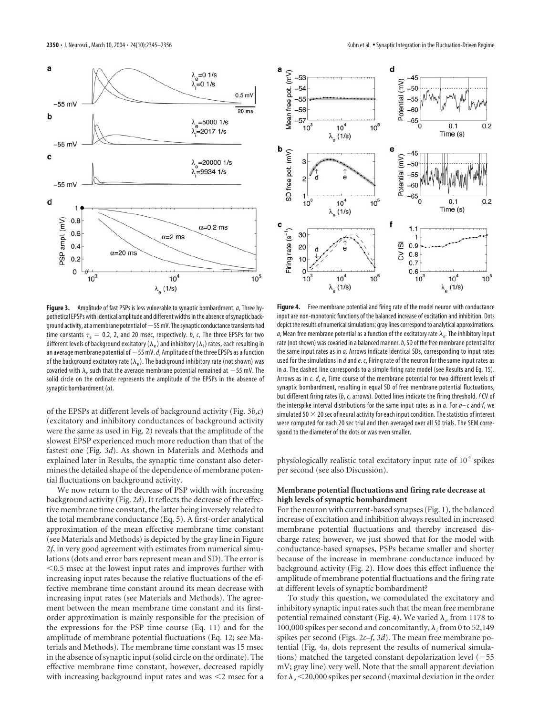

**Figure 3.** Amplitude of fast PSPs is less vulnerable to synaptic bombardment.*a*, Three hypothetical EPSPs with identical amplitude and different widths in the absence of synaptic background activity, at a membrane potential of  $-55$  mV. The synaptic conductance transients had time constants  $\tau_e = 0.2$ , 2, and 20 msec, respectively. *b*, *c*, The three EPSPs for two different levels of background excitatory ( $\lambda_{\rm e}$ ) and inhibitory ( $\lambda_{\rm i}$ ) rates, each resulting in an average membrane potential of  $-55$  mV.  $d$ , Amplitude of the three EPSPs as a function of the background excitatory rate  $(\lambda_e)$ . The background inhibitory rate (not shown) was covaried with  $\lambda_e$  such that the average membrane potential remained at  $-55$  mV. The solid circle on the ordinate represents the amplitude of the EPSPs in the absence of synaptic bombardment (*a*).

of the EPSPs at different levels of background activity (Fig. 3*b,c*) (excitatory and inhibitory conductances of background activity were the same as used in Fig. 2) reveals that the amplitude of the slowest EPSP experienced much more reduction than that of the fastest one (Fig. 3*d*). As shown in Materials and Methods and explained later in Results, the synaptic time constant also determines the detailed shape of the dependence of membrane potential fluctuations on background activity.

We now return to the decrease of PSP width with increasing background activity (Fig. 2*d*). It reflects the decrease of the effective membrane time constant, the latter being inversely related to the total membrane conductance (Eq. 5). A first-order analytical approximation of the mean effective membrane time constant (see Materials and Methods) is depicted by the gray line in Figure 2*f*, in very good agreement with estimates from numerical simulations (dots and error bars represent mean and SD). The error is 0.5 msec at the lowest input rates and improves further with increasing input rates because the relative fluctuations of the effective membrane time constant around its mean decrease with increasing input rates (see Materials and Methods). The agreement between the mean membrane time constant and its firstorder approximation is mainly responsible for the precision of the expressions for the PSP time course (Eq. 11) and for the amplitude of membrane potential fluctuations (Eq. 12; see Materials and Methods). The membrane time constant was 15 msec in the absence of synaptic input (solid circle on the ordinate). The effective membrane time constant, however, decreased rapidly with increasing background input rates and was  $\leq$  msec for a



**Figure 4.** Free membrane potential and firing rate of the model neuron with conductance input are non-monotonic functions of the balanced increase of excitation and inhibition. Dots depict the results of numerical simulations; gray lines correspond to analytical approximations. *a,* Mean free membrane potential as a function of the excitatory rate  $\lambda_{\rm e}$ . The inhibitory input rate (not shown) was covaried in a balanced manner.*b*, SD of the free membrane potential for the same input rates as in *a*. Arrows indicate identical SDs, corresponding to input rates used for the simulations in *d*and*e*. *c*, Firing rate of the neuron for the same input rates as in *a*. The dashed line corresponds to a simple firing rate model (see Results and Eq. 15). Arrows as in *c*. *d*, *e*, Time course of the membrane potential for two different levels of synaptic bombardment, resulting in equal SD of free membrane potential fluctuations, but different firing rates (*b*, *c*, arrows). Dotted lines indicate the firing threshold. *f* CV of the interspike interval distributions for the same input rates as in *a*. For *a– c* and *f*, we simulated 50  $\times$  20 sec of neural activity for each input condition. The statistics of interest were computed for each 20 sec trial and then averaged over all 50 trials. The SEM correspond to the diameter of the dots or was even smaller.

physiologically realistic total excitatory input rate of  $10<sup>4</sup>$  spikes per second (see also Discussion).

## **Membrane potential fluctuations and firing rate decrease at high levels of synaptic bombardment**

For the neuron with current-based synapses (Fig. 1), the balanced increase of excitation and inhibition always resulted in increased membrane potential fluctuations and thereby increased discharge rates; however, we just showed that for the model with conductance-based synapses, PSPs became smaller and shorter because of the increase in membrane conductance induced by background activity (Fig. 2). How does this effect influence the amplitude of membrane potential fluctuations and the firing rate at different levels of synaptic bombardment?

To study this question, we comodulated the excitatory and inhibitory synaptic input rates such that the mean free membrane potential remained constant (Fig. 4). We varied  $\lambda_e$  from 1178 to 100,000 spikes per second and concomitantly,  $\lambda_i$  from 0 to 52,149 spikes per second (Figs. 2*c–f*, 3*d*). The mean free membrane potential (Fig. 4*a*, dots represent the results of numerical simulations) matched the targeted constant depolarization level  $(-55)$ mV; gray line) very well. Note that the small apparent deviation for  $\lambda_e$  < 20,000 spikes per second (maximal deviation in the order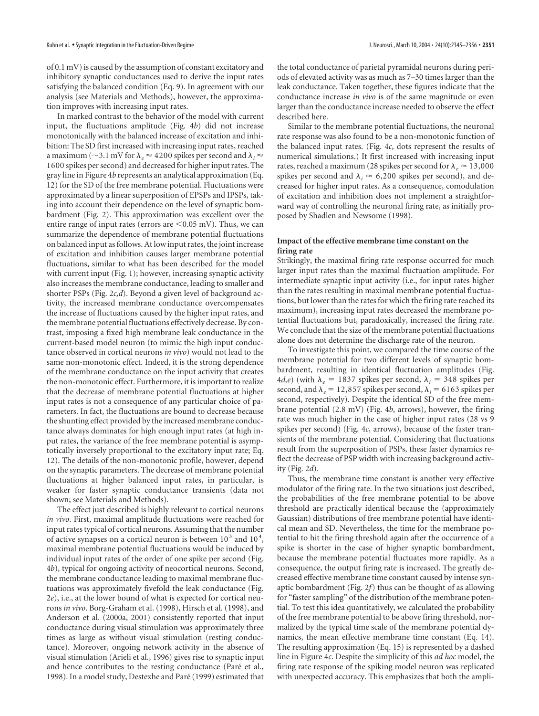of 0.1 mV) is caused by the assumption of constant excitatory and inhibitory synaptic conductances used to derive the input rates satisfying the balanced condition (Eq. 9). In agreement with our analysis (see Materials and Methods), however, the approximation improves with increasing input rates.

In marked contrast to the behavior of the model with current input, the fluctuations amplitude (Fig. 4*b*) did not increase monotonically with the balanced increase of excitation and inhibition: The SD first increased with increasing input rates, reached a maximum ( $\sim$ 3.1 mV for  $\lambda_e$   $\approx$  4200 spikes per second and  $\lambda_i$   $\approx$ 1600 spikes per second) and decreased for higher input rates. The gray line in Figure 4*b* represents an analytical approximation (Eq. 12) for the SD of the free membrane potential. Fluctuations were approximated by a linear superposition of EPSPs and IPSPs, taking into account their dependence on the level of synaptic bombardment (Fig. 2). This approximation was excellent over the entire range of input rates (errors are  $\leq 0.05$  mV). Thus, we can summarize the dependence of membrane potential fluctuations on balanced input as follows. At low input rates, the joint increase of excitation and inhibition causes larger membrane potential fluctuations, similar to what has been described for the model with current input (Fig. 1); however, increasing synaptic activity also increases the membrane conductance, leading to smaller and shorter PSPs (Fig. 2*c,d*). Beyond a given level of background activity, the increased membrane conductance overcompensates the increase of fluctuations caused by the higher input rates, and the membrane potential fluctuations effectively decrease. By contrast, imposing a fixed high membrane leak conductance in the current-based model neuron (to mimic the high input conductance observed in cortical neurons *in vivo*) would not lead to the same non-monotonic effect. Indeed, it is the strong dependence of the membrane conductance on the input activity that creates the non-monotonic effect. Furthermore, it is important to realize that the decrease of membrane potential fluctuations at higher input rates is not a consequence of any particular choice of parameters. In fact, the fluctuations are bound to decrease because the shunting effect provided by the increased membrane conductance always dominates for high enough input rates (at high input rates, the variance of the free membrane potential is asymptotically inversely proportional to the excitatory input rate; Eq. 12). The details of the non-monotonic profile, however, depend on the synaptic parameters. The decrease of membrane potential fluctuations at higher balanced input rates, in particular, is weaker for faster synaptic conductance transients (data not shown; see Materials and Methods).

The effect just described is highly relevant to cortical neurons *in vivo*. First, maximal amplitude fluctuations were reached for input rates typical of cortical neurons. Assuming that the number of active synapses on a cortical neuron is between  $10^3$  and  $10^4$ , maximal membrane potential fluctuations would be induced by individual input rates of the order of one spike per second (Fig. 4*b*), typical for ongoing activity of neocortical neurons. Second, the membrane conductance leading to maximal membrane fluctuations was approximately fivefold the leak conductance (Fig. 2*e*), i.e., at the lower bound of what is expected for cortical neurons *in vivo*. Borg-Graham et al. (1998), Hirsch et al. (1998), and Anderson et al. (2000a, 2001) consistently reported that input conductance during visual stimulation was approximately three times as large as without visual stimulation (resting conductance). Moreover, ongoing network activity in the absence of visual stimulation (Arieli et al., 1996) gives rise to synaptic input and hence contributes to the resting conductance (Paré et al., 1998). In a model study, Destexhe and Paré (1999) estimated that

the total conductance of parietal pyramidal neurons during periods of elevated activity was as much as 7–30 times larger than the leak conductance. Taken together, these figures indicate that the conductance increase *in vivo* is of the same magnitude or even larger than the conductance increase needed to observe the effect described here.

Similar to the membrane potential fluctuations, the neuronal rate response was also found to be a non-monotonic function of the balanced input rates. (Fig. 4*c*, dots represent the results of numerical simulations.) It first increased with increasing input rates, reached a maximum (28 spikes per second for  $\lambda_e \approx 13,000$ spikes per second and  $\lambda_i \approx 6,200$  spikes per second), and decreased for higher input rates. As a consequence, comodulation of excitation and inhibition does not implement a straightforward way of controlling the neuronal firing rate, as initially proposed by Shadlen and Newsome (1998).

# **Impact of the effective membrane time constant on the firing rate**

Strikingly, the maximal firing rate response occurred for much larger input rates than the maximal fluctuation amplitude. For intermediate synaptic input activity (i.e., for input rates higher than the rates resulting in maximal membrane potential fluctuations, but lower than the rates for which the firing rate reached its maximum), increasing input rates decreased the membrane potential fluctuations but, paradoxically, increased the firing rate. We conclude that the size of the membrane potential fluctuations alone does not determine the discharge rate of the neuron.

To investigate this point, we compared the time course of the membrane potential for two different levels of synaptic bombardment, resulting in identical fluctuation amplitudes (Fig. 4*d*,*e*) (with  $\lambda_e = 1837$  spikes per second,  $\lambda_i = 348$  spikes per second, and  $\lambda_e = 12{,}857$  spikes per second,  $\lambda_i = 6163$  spikes per second, respectively). Despite the identical SD of the free membrane potential (2.8 mV) (Fig. 4*b*, arrows), however, the firing rate was much higher in the case of higher input rates (28 vs 9 spikes per second) (Fig. 4*c*, arrows), because of the faster transients of the membrane potential. Considering that fluctuations result from the superposition of PSPs, these faster dynamics reflect the decrease of PSP width with increasing background activity (Fig. 2*d*).

Thus, the membrane time constant is another very effective modulator of the firing rate. In the two situations just described, the probabilities of the free membrane potential to be above threshold are practically identical because the (approximately Gaussian) distributions of free membrane potential have identical mean and SD. Nevertheless, the time for the membrane potential to hit the firing threshold again after the occurrence of a spike is shorter in the case of higher synaptic bombardment, because the membrane potential fluctuates more rapidly. As a consequence, the output firing rate is increased. The greatly decreased effective membrane time constant caused by intense synaptic bombardment (Fig. 2*f*) thus can be thought of as allowing for "faster sampling" of the distribution of the membrane potential. To test this idea quantitatively, we calculated the probability of the free membrane potential to be above firing threshold, normalized by the typical time scale of the membrane potential dynamics, the mean effective membrane time constant (Eq. 14). The resulting approximation (Eq. 15) is represented by a dashed line in Figure 4*c*. Despite the simplicity of this *ad hoc* model, the firing rate response of the spiking model neuron was replicated with unexpected accuracy. This emphasizes that both the ampli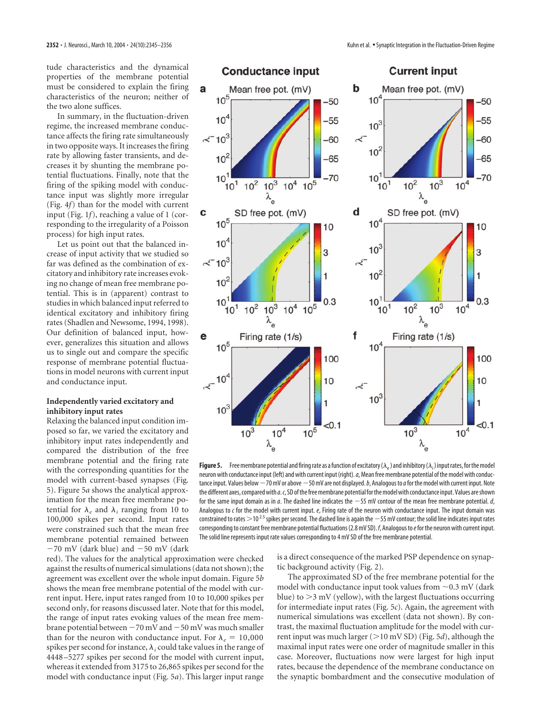tude characteristics and the dynamical properties of the membrane potential must be considered to explain the firing characteristics of the neuron; neither of the two alone suffices.

In summary, in the fluctuation-driven regime, the increased membrane conductance affects the firing rate simultaneously in two opposite ways. It increases the firing rate by allowing faster transients, and decreases it by shunting the membrane potential fluctuations. Finally, note that the firing of the spiking model with conductance input was slightly more irregular (Fig. 4*f*) than for the model with current input (Fig. 1*f*), reaching a value of 1 (corresponding to the irregularity of a Poisson process) for high input rates.

Let us point out that the balanced increase of input activity that we studied so far was defined as the combination of excitatory and inhibitory rate increases evoking no change of mean free membrane potential. This is in (apparent) contrast to studies in which balanced input referred to identical excitatory and inhibitory firing rates (Shadlen and Newsome, 1994, 1998). Our definition of balanced input, however, generalizes this situation and allows us to single out and compare the specific response of membrane potential fluctuations in model neurons with current input and conductance input.

## **Independently varied excitatory and inhibitory input rates**

Relaxing the balanced input condition imposed so far, we varied the excitatory and inhibitory input rates independently and compared the distribution of the free membrane potential and the firing rate with the corresponding quantities for the model with current-based synapses (Fig. 5). Figure 5*a* shows the analytical approximation for the mean free membrane potential for  $\lambda_e$  and  $\lambda_i$  ranging from 10 to 100,000 spikes per second. Input rates were constrained such that the mean free membrane potential remained between  $-70$  mV (dark blue) and  $-50$  mV (dark

red). The values for the analytical approximation were checked against the results of numerical simulations (data not shown); the agreement was excellent over the whole input domain. Figure 5*b* shows the mean free membrane potential of the model with current input. Here, input rates ranged from 10 to 10,000 spikes per second only, for reasons discussed later. Note that for this model, the range of input rates evoking values of the mean free membrane potential between  $-70$  mV and  $-50$  mV was much smaller than for the neuron with conductance input. For  $\lambda_e = 10,000$ spikes per second for instance,  $\lambda_i$  could take values in the range of 4448–5277 spikes per second for the model with current input, whereas it extended from 3175 to 26,865 spikes per second for the model with conductance input (Fig. 5*a*). This larger input range



**Figure 5.** Free membrane potential and firing rate as a function of excitatory ( $\lambda_{\rm e}$ ) and inhibitory ( $\lambda_{\rm i}$ ) input rates, for the model neuron with conductance input (left) and with current input (right).*a*, Mean free membrane potential of the model with conductance input. Values below  $-70$  mV or above  $-50$  mV are not displayed. *b*, Analogous to *a* for the model with current input. Note the different axes, compared with *a*.*c*, SD of the free membrane potential for the model with conductance input. Values are shown for the same input domain as in *a*. The dashed line indicates the 55 mV contour of the mean free membrane potential. *d*, Analogous to *c* for the model with current input. *e*, Firing rate of the neuron with conductance input. The input domain was constrained to rates  $>$ 10<sup>2.5</sup> spikes per second. The dashed line is again the  $-$  55 mV contour; the solid line indicates input rates corresponding to constant free membrane potential fluctuations (2.8 mV SD). *f*, Analogous to*e*for the neuron with current input. The solid line represents input rate values corresponding to 4 mV SD of the free membrane potential.

is a direct consequence of the marked PSP dependence on synaptic background activity (Fig. 2).

The approximated SD of the free membrane potential for the model with conductance input took values from  $\sim$  0.3 mV (dark blue) to  $>3$  mV (yellow), with the largest fluctuations occurring for intermediate input rates (Fig. 5*c*). Again, the agreement with numerical simulations was excellent (data not shown). By contrast, the maximal fluctuation amplitude for the model with current input was much larger ( $>$ 10 mV SD) (Fig. 5*d*), although the maximal input rates were one order of magnitude smaller in this case. Moreover, fluctuations now were largest for high input rates, because the dependence of the membrane conductance on the synaptic bombardment and the consecutive modulation of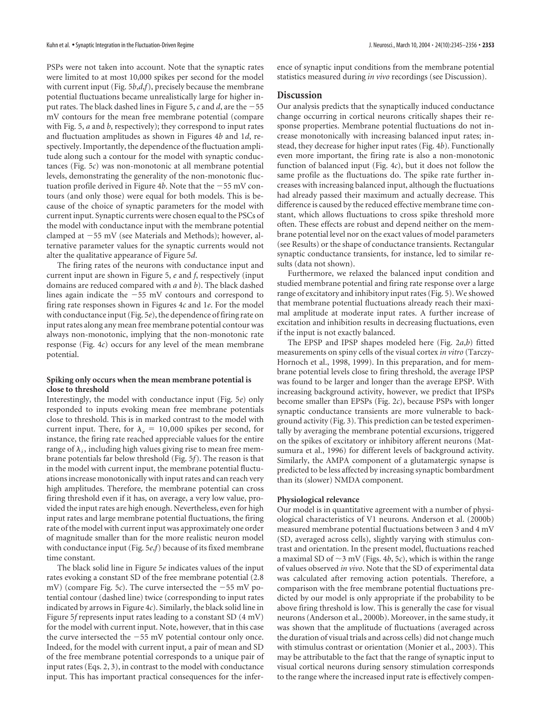PSPs were not taken into account. Note that the synaptic rates were limited to at most 10,000 spikes per second for the model with current input (Fig. 5*b*,*d*,*f*), precisely because the membrane potential fluctuations became unrealistically large for higher input rates. The black dashed lines in Figure 5,  $c$  and  $d$ , are the  $-55$ mV contours for the mean free membrane potential (compare with Fig. 5, *a* and *b*, respectively); they correspond to input rates and fluctuation amplitudes as shown in Figures 4*b* and 1*d*, respectively. Importantly, the dependence of the fluctuation amplitude along such a contour for the model with synaptic conductances (Fig. 5*c*) was non-monotonic at all membrane potential levels, demonstrating the generality of the non-monotonic fluctuation profile derived in Figure 4b. Note that the  $-55$  mV contours (and only those) were equal for both models. This is because of the choice of synaptic parameters for the model with current input. Synaptic currents were chosen equal to the PSCs of the model with conductance input with the membrane potential clamped at  $-55$  mV (see Materials and Methods); however, alternative parameter values for the synaptic currents would not alter the qualitative appearance of Figure 5*d*.

The firing rates of the neurons with conductance input and current input are shown in Figure 5, *e* and *f*, respectively (input domains are reduced compared with *a* and *b*). The black dashed lines again indicate the  $-55$  mV contours and correspond to firing rate responses shown in Figures 4*c* and 1*e*. For the model with conductance input (Fig. 5*e*), the dependence of firing rate on input rates along any mean free membrane potential contour was always non-monotonic, implying that the non-monotonic rate response (Fig. 4*c*) occurs for any level of the mean membrane potential.

## **Spiking only occurs when the mean membrane potential is close to threshold**

Interestingly, the model with conductance input (Fig. 5*e*) only responded to inputs evoking mean free membrane potentials close to threshold. This is in marked contrast to the model with current input. There, for  $\lambda_e = 10,000$  spikes per second, for instance, the firing rate reached appreciable values for the entire range of  $\lambda_i$ , including high values giving rise to mean free membrane potentials far below threshold (Fig. 5*f*). The reason is that in the model with current input, the membrane potential fluctuations increase monotonically with input rates and can reach very high amplitudes. Therefore, the membrane potential can cross firing threshold even if it has, on average, a very low value, provided the input rates are high enough. Nevertheless, even for high input rates and large membrane potential fluctuations, the firing rate of the model with current input was approximately one order of magnitude smaller than for the more realistic neuron model with conductance input (Fig. 5*e*,*f*) because of its fixed membrane time constant.

The black solid line in Figure 5*e* indicates values of the input rates evoking a constant SD of the free membrane potential (2.8 mV) (compare Fig. 5*c*). The curve intersected the  $-55$  mV potential contour (dashed line) twice (corresponding to input rates indicated by arrows in Figure 4*c*). Similarly, the black solid line in Figure 5*f* represents input rates leading to a constant SD (4 mV) for the model with current input. Note, however, that in this case the curve intersected the  $-55$  mV potential contour only once. Indeed, for the model with current input, a pair of mean and SD of the free membrane potential corresponds to a unique pair of input rates (Eqs. 2, 3), in contrast to the model with conductance input. This has important practical consequences for the infer-

# **Discussion**

Our analysis predicts that the synaptically induced conductance change occurring in cortical neurons critically shapes their response properties. Membrane potential fluctuations do not increase monotonically with increasing balanced input rates; instead, they decrease for higher input rates (Fig. 4*b*). Functionally even more important, the firing rate is also a non-monotonic function of balanced input (Fig. 4*c*), but it does not follow the same profile as the fluctuations do. The spike rate further increases with increasing balanced input, although the fluctuations had already passed their maximum and actually decrease. This difference is caused by the reduced effective membrane time constant, which allows fluctuations to cross spike threshold more often. These effects are robust and depend neither on the membrane potential level nor on the exact values of model parameters (see Results) or the shape of conductance transients. Rectangular synaptic conductance transients, for instance, led to similar results (data not shown).

Furthermore, we relaxed the balanced input condition and studied membrane potential and firing rate response over a large range of excitatory and inhibitory input rates (Fig. 5). We showed that membrane potential fluctuations already reach their maximal amplitude at moderate input rates. A further increase of excitation and inhibition results in decreasing fluctuations, even if the input is not exactly balanced.

The EPSP and IPSP shapes modeled here (Fig. 2*a*,*b*) fitted measurements on spiny cells of the visual cortex *in vitro* (Tarczy-Hornoch et al., 1998, 1999). In this preparation, and for membrane potential levels close to firing threshold, the average IPSP was found to be larger and longer than the average EPSP. With increasing background activity, however, we predict that IPSPs become smaller than EPSPs (Fig. 2*c*), because PSPs with longer synaptic conductance transients are more vulnerable to background activity (Fig. 3). This prediction can be tested experimentally by averaging the membrane potential excursions, triggered on the spikes of excitatory or inhibitory afferent neurons (Matsumura et al., 1996) for different levels of background activity. Similarly, the AMPA component of a glutamatergic synapse is predicted to be less affected by increasing synaptic bombardment than its (slower) NMDA component.

## **Physiological relevance**

Our model is in quantitative agreement with a number of physiological characteristics of V1 neurons. Anderson et al. (2000b) measured membrane potential fluctuations between 3 and 4 mV (SD, averaged across cells), slightly varying with stimulus contrast and orientation. In the present model, fluctuations reached a maximal SD of  $\sim$ 3 mV (Figs. 4*b*, 5*c*), which is within the range of values observed *in vivo*. Note that the SD of experimental data was calculated after removing action potentials. Therefore, a comparison with the free membrane potential fluctuations predicted by our model is only appropriate if the probability to be above firing threshold is low. This is generally the case for visual neurons (Anderson et al., 2000b). Moreover, in the same study, it was shown that the amplitude of fluctuations (averaged across the duration of visual trials and across cells) did not change much with stimulus contrast or orientation (Monier et al., 2003). This may be attributable to the fact that the range of synaptic input to visual cortical neurons during sensory stimulation corresponds to the range where the increased input rate is effectively compen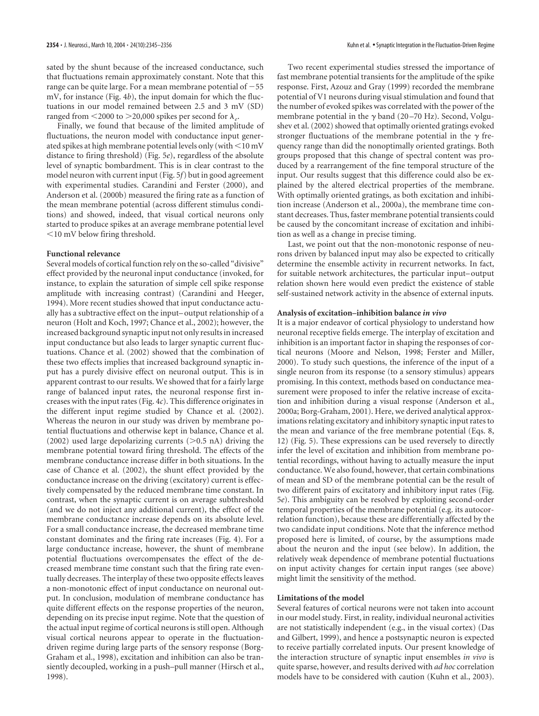sated by the shunt because of the increased conductance, such that fluctuations remain approximately constant. Note that this range can be quite large. For a mean membrane potential of  $-55$ mV, for instance (Fig. 4*b*), the input domain for which the fluctuations in our model remained between 2.5 and 3 mV (SD) ranged from  $\leq$ 2000 to  $\geq$ 20,000 spikes per second for  $\lambda_e$ .

Finally, we found that because of the limited amplitude of fluctuations, the neuron model with conductance input generated spikes at high membrane potential levels only (with  $\leq$  10 mV distance to firing threshold) (Fig. 5*e*), regardless of the absolute level of synaptic bombardment. This is in clear contrast to the model neuron with current input (Fig. 5*f*) but in good agreement with experimental studies. Carandini and Ferster (2000), and Anderson et al. (2000b) measured the firing rate as a function of the mean membrane potential (across different stimulus conditions) and showed, indeed, that visual cortical neurons only started to produce spikes at an average membrane potential level  $10$  mV below firing threshold.

# **Functional relevance**

Several models of cortical function rely on the so-called "divisive" effect provided by the neuronal input conductance (invoked, for instance, to explain the saturation of simple cell spike response amplitude with increasing contrast) (Carandini and Heeger, 1994). More recent studies showed that input conductance actually has a subtractive effect on the input–output relationship of a neuron (Holt and Koch, 1997; Chance et al., 2002); however, the increased background synaptic input not only results in increased input conductance but also leads to larger synaptic current fluctuations. Chance et al. (2002) showed that the combination of these two effects implies that increased background synaptic input has a purely divisive effect on neuronal output. This is in apparent contrast to our results. We showed that for a fairly large range of balanced input rates, the neuronal response first increases with the input rates (Fig. 4*c*). This difference originates in the different input regime studied by Chance et al. (2002). Whereas the neuron in our study was driven by membrane potential fluctuations and otherwise kept in balance, Chance et al. (2002) used large depolarizing currents ( $>$ 0.5 nA) driving the membrane potential toward firing threshold. The effects of the membrane conductance increase differ in both situations. In the case of Chance et al. (2002), the shunt effect provided by the conductance increase on the driving (excitatory) current is effectively compensated by the reduced membrane time constant. In contrast, when the synaptic current is on average subthreshold (and we do not inject any additional current), the effect of the membrane conductance increase depends on its absolute level. For a small conductance increase, the decreased membrane time constant dominates and the firing rate increases (Fig. 4). For a large conductance increase, however, the shunt of membrane potential fluctuations overcompensates the effect of the decreased membrane time constant such that the firing rate eventually decreases. The interplay of these two opposite effects leaves a non-monotonic effect of input conductance on neuronal output. In conclusion, modulation of membrane conductance has quite different effects on the response properties of the neuron, depending on its precise input regime. Note that the question of the actual input regime of cortical neurons is still open. Although visual cortical neurons appear to operate in the fluctuationdriven regime during large parts of the sensory response (Borg-Graham et al., 1998), excitation and inhibition can also be transiently decoupled, working in a push–pull manner (Hirsch et al., 1998).

Two recent experimental studies stressed the importance of fast membrane potential transients for the amplitude of the spike response. First, Azouz and Gray (1999) recorded the membrane potential of V1 neurons during visual stimulation and found that the number of evoked spikes was correlated with the power of the membrane potential in the  $\gamma$  band (20–70 Hz). Second, Volgushev et al. (2002) showed that optimally oriented gratings evoked stronger fluctuations of the membrane potential in the  $\gamma$  frequency range than did the nonoptimally oriented gratings. Both groups proposed that this change of spectral content was produced by a rearrangement of the fine temporal structure of the input. Our results suggest that this difference could also be explained by the altered electrical properties of the membrane. With optimally oriented gratings, as both excitation and inhibition increase (Anderson et al., 2000a), the membrane time constant decreases. Thus, faster membrane potential transients could be caused by the concomitant increase of excitation and inhibition as well as a change in precise timing.

Last, we point out that the non-monotonic response of neurons driven by balanced input may also be expected to critically determine the ensemble activity in recurrent networks. In fact, for suitable network architectures, the particular input–output relation shown here would even predict the existence of stable self-sustained network activity in the absence of external inputs.

#### **Analysis of excitation–inhibition balance** *in vivo*

It is a major endeavor of cortical physiology to understand how neuronal receptive fields emerge. The interplay of excitation and inhibition is an important factor in shaping the responses of cortical neurons (Moore and Nelson, 1998; Ferster and Miller, 2000). To study such questions, the inference of the input of a single neuron from its response (to a sensory stimulus) appears promising. In this context, methods based on conductance measurement were proposed to infer the relative increase of excitation and inhibition during a visual response (Anderson et al., 2000a; Borg-Graham, 2001). Here, we derived analytical approximations relating excitatory and inhibitory synaptic input rates to the mean and variance of the free membrane potential (Eqs. 8, 12) (Fig. 5). These expressions can be used reversely to directly infer the level of excitation and inhibition from membrane potential recordings, without having to actually measure the input conductance. We also found, however, that certain combinations of mean and SD of the membrane potential can be the result of two different pairs of excitatory and inhibitory input rates (Fig. 5*e*). This ambiguity can be resolved by exploiting second-order temporal properties of the membrane potential (e.g. its autocorrelation function), because these are differentially affected by the two candidate input conditions. Note that the inference method proposed here is limited, of course, by the assumptions made about the neuron and the input (see below). In addition, the relatively weak dependence of membrane potential fluctuations on input activity changes for certain input ranges (see above) might limit the sensitivity of the method.

#### **Limitations of the model**

Several features of cortical neurons were not taken into account in our model study. First, in reality, individual neuronal activities are not statistically independent (e.g., in the visual cortex) (Das and Gilbert, 1999), and hence a postsynaptic neuron is expected to receive partially correlated inputs. Our present knowledge of the interaction structure of synaptic input ensembles *in vivo* is quite sparse, however, and results derived with *ad hoc* correlation models have to be considered with caution (Kuhn et al., 2003).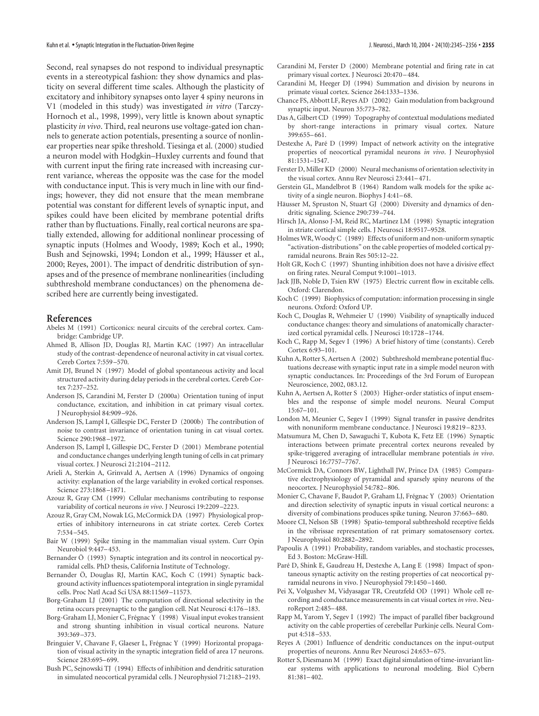Second, real synapses do not respond to individual presynaptic events in a stereotypical fashion: they show dynamics and plasticity on several different time scales. Although the plasticity of excitatory and inhibitory synapses onto layer 4 spiny neurons in V1 (modeled in this study) was investigated *in vitro* (Tarczy-Hornoch et al., 1998, 1999), very little is known about synaptic plasticity *in vivo*. Third, real neurons use voltage-gated ion channels to generate action potentials, presenting a source of nonlinear properties near spike threshold. Tiesinga et al. (2000) studied a neuron model with Hodgkin–Huxley currents and found that with current input the firing rate increased with increasing current variance, whereas the opposite was the case for the model with conductance input. This is very much in line with our findings; however, they did not ensure that the mean membrane potential was constant for different levels of synaptic input, and spikes could have been elicited by membrane potential drifts rather than by fluctuations. Finally, real cortical neurons are spatially extended, allowing for additional nonlinear processing of synaptic inputs (Holmes and Woody, 1989; Koch et al., 1990; Bush and Sejnowski, 1994; London et al., 1999; Häusser et al., 2000; Reyes, 2001). The impact of dendritic distribution of synapses and of the presence of membrane nonlinearities (including subthreshold membrane conductances) on the phenomena described here are currently being investigated.

#### **References**

- Abeles M (1991) Corticonics: neural circuits of the cerebral cortex. Cambridge: Cambridge UP.
- Ahmed B, Allison JD, Douglas RJ, Martin KAC (1997) An intracellular study of the contrast-dependence of neuronal activity in cat visual cortex. Cereb Cortex 7:559–570.
- Amit DJ, Brunel N (1997) Model of global spontaneous activity and local structured activity during delay periods in the cerebral cortex. Cereb Cortex 7:237–252.
- Anderson JS, Carandini M, Ferster D (2000a) Orientation tuning of input conductance, excitation, and inhibition in cat primary visual cortex. J Neurophysiol 84:909–926.
- Anderson JS, Lampl I, Gillespie DC, Ferster D (2000b) The contribution of noise to contrast invariance of orientation tuning in cat visual cortex. Science 290:1968–1972.
- Anderson JS, Lampl I, Gillespie DC, Ferster D (2001) Membrane potential and conductance changes underlying length tuning of cells in cat primary visual cortex. J Neurosci 21:2104–2112.
- Arieli A, Sterkin A, Grinvald A, Aertsen A (1996) Dynamics of ongoing activity: explanation of the large variability in evoked cortical responses. Science 273:1868–1871.
- Azouz R, Gray CM (1999) Cellular mechanisms contributing to response variability of cortical neurons *in vivo*. J Neurosci 19:2209–2223.
- Azouz R, Gray CM, Nowak LG, McCormick DA (1997) Physiological properties of inhibitory interneurons in cat striate cortex. Cereb Cortex 7:534–545.
- Bair W (1999) Spike timing in the mammalian visual system. Curr Opin Neurobiol 9:447–453.
- Bernander Ö (1993) Synaptic integration and its control in neocortical pyramidal cells. PhD thesis, California Institute of Technology.
- Bernander Ö, Douglas RJ, Martin KAC, Koch C (1991) Synaptic background activity influences spatiotemporal integration in single pyramidal cells. Proc Natl Acad Sci USA 88:11569–11573.
- Borg-Graham LJ (2001) The computation of directional selectivity in the retina occurs presynaptic to the ganglion cell. Nat Neurosci 4:176–183.
- Borg-Graham LJ, Monier C, Frégnac Y (1998) Visual input evokes transient and strong shunting inhibition in visual cortical neurons. Nature 393:369–373.
- Bringuier V, Chavane F, Glaeser L, Frégnac Y (1999) Horizontal propagation of visual activity in the synaptic integration field of area 17 neurons. Science 283:695–699.
- Bush PC, Sejnowski TJ (1994) Effects of inhibition and dendritic saturation in simulated neocortical pyramidal cells. J Neurophysiol 71:2183–2193.
- Carandini M, Ferster D (2000) Membrane potential and firing rate in cat primary visual cortex. J Neurosci 20:470–484.
- Carandini M, Heeger DJ (1994) Summation and division by neurons in primate visual cortex. Science 264:1333–1336.
- Chance FS, Abbott LF, Reyes AD (2002) Gain modulation from background synaptic input. Neuron 35:773–782.
- Das A, Gilbert CD (1999) Topography of contextual modulations mediated by short-range interactions in primary visual cortex. Nature 399:655–661.
- Destexhe A, Paré D (1999) Impact of network activity on the integrative properties of neocortical pyramidal neurons *in vivo*. J Neurophysiol 81:1531–1547.
- Ferster D, Miller KD (2000) Neural mechanisms of orientation selectivity in the visual cortex. Annu Rev Neurosci 23:441–471.
- Gerstein GL, Mandelbrot B (1964) Random walk models for the spike activity of a single neuron. Biophys J 4:41–68.
- Häusser M, Spruston N, Stuart GJ (2000) Diversity and dynamics of dendritic signaling. Science 290:739–744.
- Hirsch JA, Alonso J-M, Reid RC, Martinez LM (1998) Synaptic integration in striate cortical simple cells. J Neurosci 18:9517–9528.
- Holmes WR, Woody C (1989) Effects of uniform and non-uniform synaptic "activation-distributions" on the cable properties of modeled cortical pyramidal neurons. Brain Res 505:12–22.
- Holt GR, Koch C (1997) Shunting inhibition does not have a divisive effect on firing rates. Neural Comput 9:1001–1013.
- Jack JJB, Noble D, Tsien RW (1975) Electric current flow in excitable cells. Oxford: Clarendon.
- Koch C (1999) Biophysics of computation: information processing in single neurons. Oxford: Oxford UP.
- Koch C, Douglas R, Wehmeier U (1990) Visibility of synaptically induced conductance changes: theory and simulations of anatomically characterized cortical pyramidal cells. J Neurosci 10:1728–1744.
- Koch C, Rapp M, Segev I (1996) A brief history of time (constants). Cereb Cortex 6:93–101.
- Kuhn A, Rotter S, Aertsen A (2002) Subthreshold membrane potential fluctuations decrease with synaptic input rate in a simple model neuron with synaptic conductances. In: Proceedings of the 3rd Forum of European Neuroscience, 2002, 083.12.
- Kuhn A, Aertsen A, Rotter S (2003) Higher-order statistics of input ensembles and the response of simple model neurons. Neural Comput 15:67–101.
- London M, Meunier C, Segev I (1999) Signal transfer in passive dendrites with nonuniform membrane conductance. J Neurosci 19:8219–8233.
- Matsumura M, Chen D, Sawaguchi T, Kubota K, Fetz EE (1996) Synaptic interactions between primate precentral cortex neurons revealed by spike-triggered averaging of intracellular membrane potentials *in vivo*. J Neurosci 16:7757–7767.
- McCormick DA, Connors BW, Lighthall JW, Prince DA (1985) Comparative electrophysiology of pyramidal and sparsely spiny neurons of the neocortex. J Neurophysiol 54:782–806.
- Monier C, Chavane F, Baudot P, Graham LJ, Frégnac Y (2003) Orientation and direction selectivity of synaptic inputs in visual cortical neurons: a diversity of combinations produces spike tuning. Neuron 37:663–680.
- Moore CI, Nelson SB (1998) Spatio-temporal subthreshold receptive fields in the vibrissae representation of rat primary somatosensory cortex. J Neurophysiol 80:2882–2892.
- Papoulis A (1991) Probability, random variables, and stochastic processes, Ed 3. Boston: McGraw-Hill.
- Paré D, Shink E, Gaudreau H, Destexhe A, Lang E (1998) Impact of spontaneous synaptic activity on the resting properties of cat neocortical pyramidal neurons in vivo. J Neurophysiol 79:1450–1460.
- Pei X, Volgushev M, Vidyasagar TR, Creutzfeld OD (1991) Whole cell recording and conductance measurements in cat visual cortex *in vivo*. NeuroReport 2:485–488.
- Rapp M, Yarom Y, Segev I (1992) The impact of parallel fiber background activity on the cable properties of cerebellar Purkinje cells. Neural Comput 4:518–533.
- Reyes A (2001) Influence of dendritic conductances on the input-output properties of neurons. Annu Rev Neurosci 24:653–675.
- Rotter S, Diesmann M (1999) Exact digital simulation of time-invariant linear systems with applications to neuronal modeling. Biol Cybern 81:381–402.